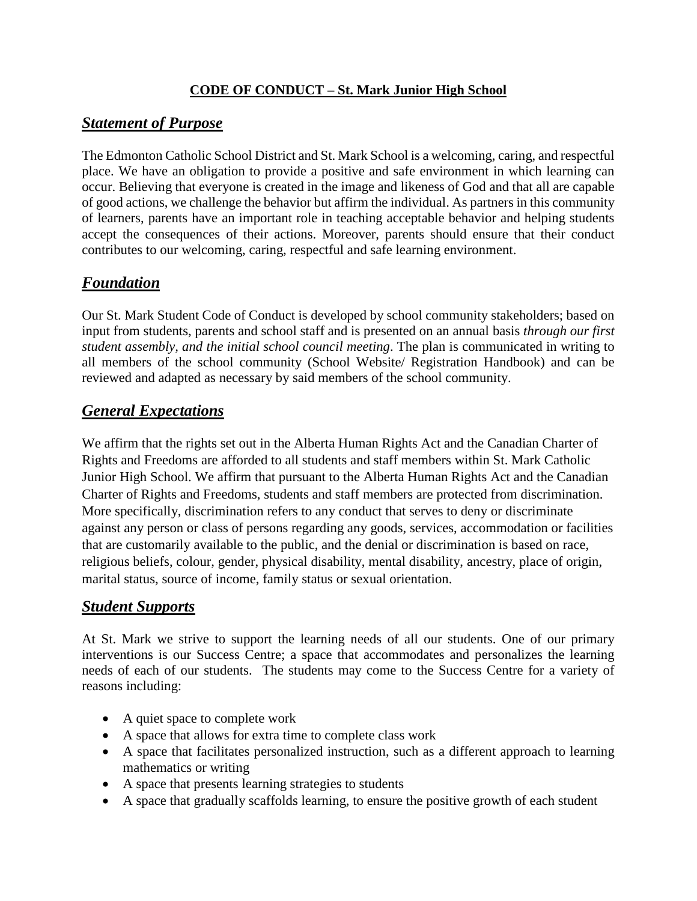#### **CODE OF CONDUCT – St. Mark Junior High School**

#### *Statement of Purpose*

The Edmonton Catholic School District and St. Mark School is a welcoming, caring, and respectful place. We have an obligation to provide a positive and safe environment in which learning can occur. Believing that everyone is created in the image and likeness of God and that all are capable of good actions, we challenge the behavior but affirm the individual. As partners in this community of learners, parents have an important role in teaching acceptable behavior and helping students accept the consequences of their actions. Moreover, parents should ensure that their conduct contributes to our welcoming, caring, respectful and safe learning environment.

## *Foundation*

Our St. Mark Student Code of Conduct is developed by school community stakeholders; based on input from students, parents and school staff and is presented on an annual basis *through our first student assembly, and the initial school council meeting*. The plan is communicated in writing to all members of the school community (School Website/ Registration Handbook) and can be reviewed and adapted as necessary by said members of the school community.

# *General Expectations*

We affirm that the rights set out in the Alberta Human Rights Act and the Canadian Charter of Rights and Freedoms are afforded to all students and staff members within St. Mark Catholic Junior High School. We affirm that pursuant to the Alberta Human Rights Act and the Canadian Charter of Rights and Freedoms, students and staff members are protected from discrimination. More specifically, discrimination refers to any conduct that serves to deny or discriminate against any person or class of persons regarding any goods, services, accommodation or facilities that are customarily available to the public, and the denial or discrimination is based on race, religious beliefs, colour, gender, physical disability, mental disability, ancestry, place of origin, marital status, source of income, family status or sexual orientation.

#### *Student Supports*

At St. Mark we strive to support the learning needs of all our students. One of our primary interventions is our Success Centre; a space that accommodates and personalizes the learning needs of each of our students. The students may come to the Success Centre for a variety of reasons including:

- A quiet space to complete work
- A space that allows for extra time to complete class work
- A space that facilitates personalized instruction, such as a different approach to learning mathematics or writing
- A space that presents learning strategies to students
- A space that gradually scaffolds learning, to ensure the positive growth of each student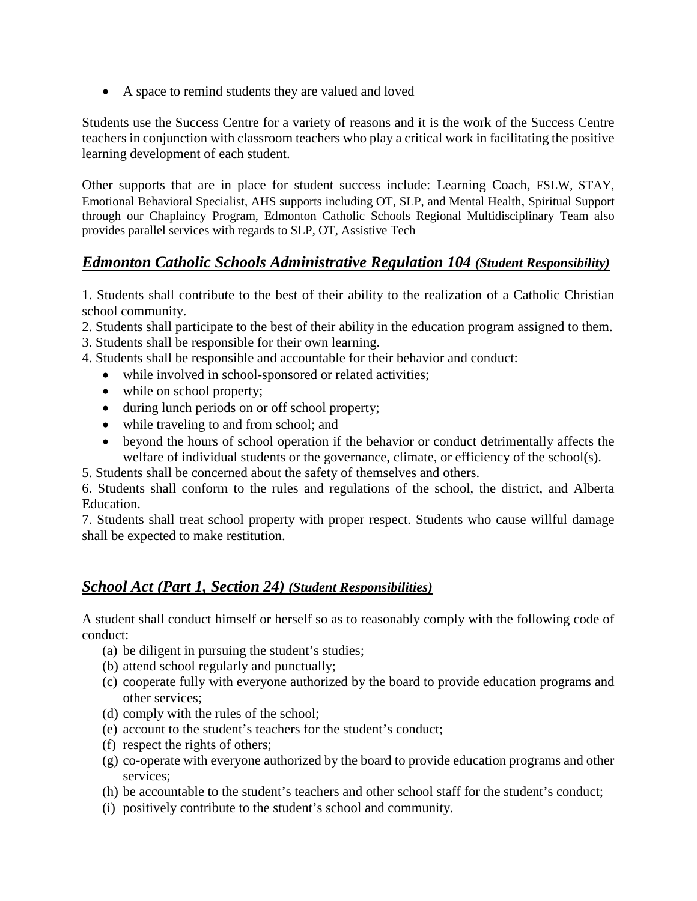• A space to remind students they are valued and loved

Students use the Success Centre for a variety of reasons and it is the work of the Success Centre teachers in conjunction with classroom teachers who play a critical work in facilitating the positive learning development of each student.

Other supports that are in place for student success include: Learning Coach, FSLW, STAY, Emotional Behavioral Specialist, AHS supports including OT, SLP, and Mental Health, Spiritual Support through our Chaplaincy Program, Edmonton Catholic Schools Regional Multidisciplinary Team also provides parallel services with regards to SLP, OT, Assistive Tech

#### *Edmonton Catholic Schools Administrative Regulation 104 (Student Responsibility)*

1. Students shall contribute to the best of their ability to the realization of a Catholic Christian school community.

- 2. Students shall participate to the best of their ability in the education program assigned to them.
- 3. Students shall be responsible for their own learning.
- 4. Students shall be responsible and accountable for their behavior and conduct:
	- while involved in school-sponsored or related activities;
	- while on school property;
	- during lunch periods on or off school property;
	- while traveling to and from school; and
	- beyond the hours of school operation if the behavior or conduct detrimentally affects the welfare of individual students or the governance, climate, or efficiency of the school(s).
- 5. Students shall be concerned about the safety of themselves and others.

6. Students shall conform to the rules and regulations of the school, the district, and Alberta Education.

7. Students shall treat school property with proper respect. Students who cause willful damage shall be expected to make restitution.

#### *School Act (Part 1, Section 24) (Student Responsibilities)*

A student shall conduct himself or herself so as to reasonably comply with the following code of conduct:

- (a) be diligent in pursuing the student's studies;
- (b) attend school regularly and punctually;
- (c) cooperate fully with everyone authorized by the board to provide education programs and other services;
- (d) comply with the rules of the school;
- (e) account to the student's teachers for the student's conduct;
- (f) respect the rights of others;
- (g) co-operate with everyone authorized by the board to provide education programs and other services;
- (h) be accountable to the student's teachers and other school staff for the student's conduct;
- (i) positively contribute to the student's school and community.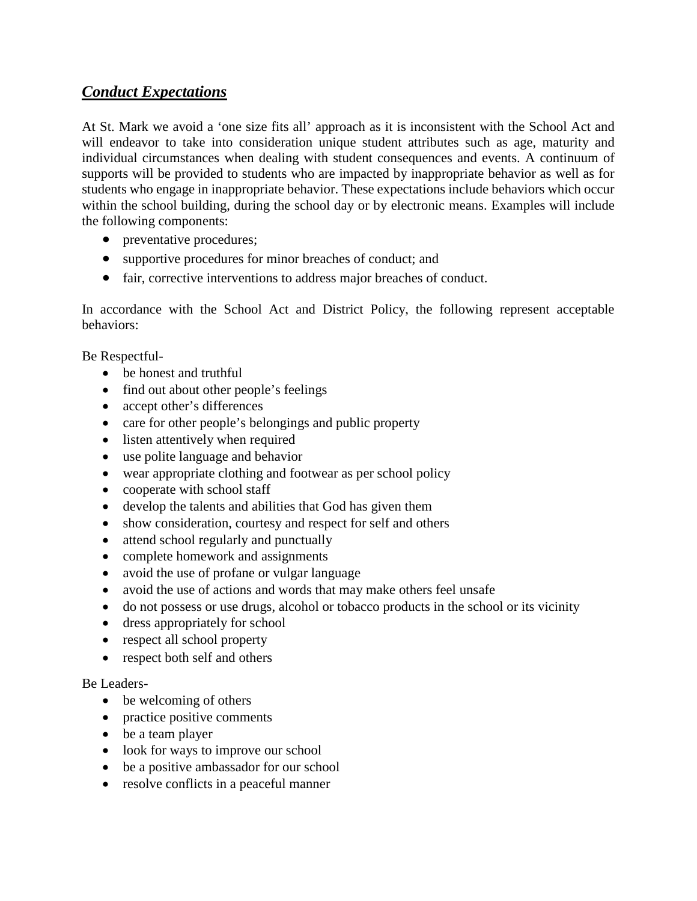## *Conduct Expectations*

At St. Mark we avoid a 'one size fits all' approach as it is inconsistent with the School Act and will endeavor to take into consideration unique student attributes such as age, maturity and individual circumstances when dealing with student consequences and events. A continuum of supports will be provided to students who are impacted by inappropriate behavior as well as for students who engage in inappropriate behavior. These expectations include behaviors which occur within the school building, during the school day or by electronic means. Examples will include the following components:

- preventative procedures;
- supportive procedures for minor breaches of conduct; and
- fair, corrective interventions to address major breaches of conduct.

In accordance with the School Act and District Policy, the following represent acceptable behaviors:

Be Respectful-

- be honest and truthful
- find out about other people's feelings
- accept other's differences
- care for other people's belongings and public property
- listen attentively when required
- use polite language and behavior
- wear appropriate clothing and footwear as per school policy
- cooperate with school staff
- develop the talents and abilities that God has given them
- show consideration, courtesy and respect for self and others
- attend school regularly and punctually
- complete homework and assignments
- avoid the use of profane or vulgar language
- avoid the use of actions and words that may make others feel unsafe
- do not possess or use drugs, alcohol or tobacco products in the school or its vicinity
- dress appropriately for school
- respect all school property
- respect both self and others

#### Be Leaders-

- be welcoming of others
- practice positive comments
- be a team player
- look for ways to improve our school
- be a positive ambassador for our school
- resolve conflicts in a peaceful manner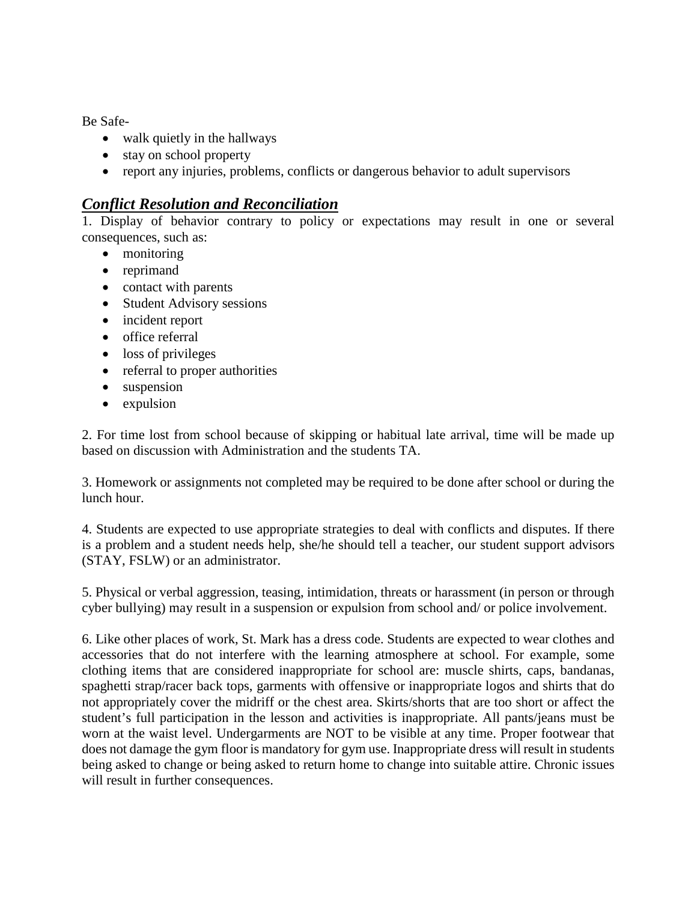Be Safe-

- walk quietly in the hallways
- stay on school property
- report any injuries, problems, conflicts or dangerous behavior to adult supervisors

#### *Conflict Resolution and Reconciliation*

1. Display of behavior contrary to policy or expectations may result in one or several consequences, such as:

- monitoring
- reprimand
- contact with parents
- Student Advisory sessions
- incident report
- office referral
- loss of privileges
- referral to proper authorities
- suspension
- expulsion

2. For time lost from school because of skipping or habitual late arrival, time will be made up based on discussion with Administration and the students TA.

3. Homework or assignments not completed may be required to be done after school or during the lunch hour.

4. Students are expected to use appropriate strategies to deal with conflicts and disputes. If there is a problem and a student needs help, she/he should tell a teacher, our student support advisors (STAY, FSLW) or an administrator.

5. Physical or verbal aggression, teasing, intimidation, threats or harassment (in person or through cyber bullying) may result in a suspension or expulsion from school and/ or police involvement.

6. Like other places of work, St. Mark has a dress code. Students are expected to wear clothes and accessories that do not interfere with the learning atmosphere at school. For example, some clothing items that are considered inappropriate for school are: muscle shirts, caps, bandanas, spaghetti strap/racer back tops, garments with offensive or inappropriate logos and shirts that do not appropriately cover the midriff or the chest area. Skirts/shorts that are too short or affect the student's full participation in the lesson and activities is inappropriate. All pants/jeans must be worn at the waist level. Undergarments are NOT to be visible at any time. Proper footwear that does not damage the gym floor is mandatory for gym use. Inappropriate dress will result in students being asked to change or being asked to return home to change into suitable attire. Chronic issues will result in further consequences.